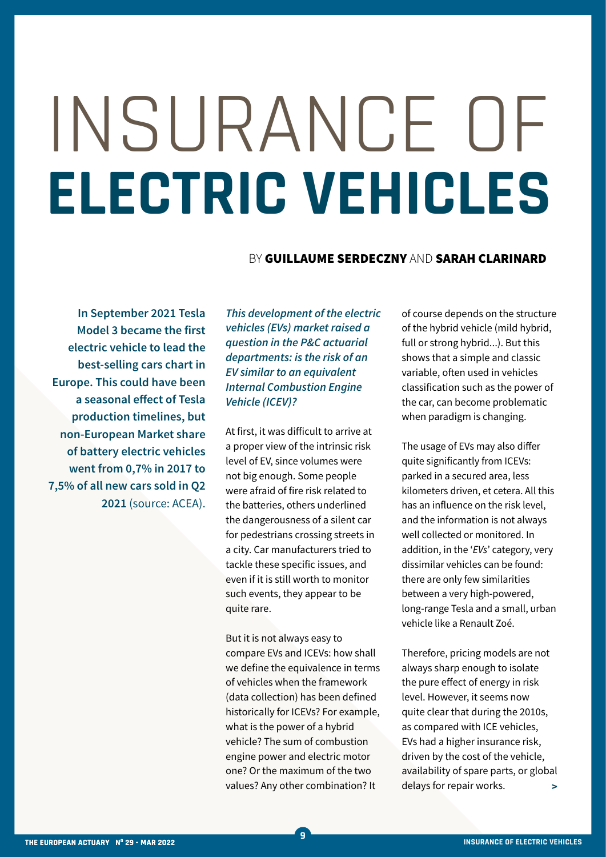## INSURANCE OF **ELECTRIC VEHICLES**

## BY GUILLAUME SERDECZNY AND SARAH CLARINARD

**In September 2021 Tesla Model 3 became the first electric vehicle to lead the best-selling cars chart in Europe. This could have been a seasonal effect of Tesla production timelines, but non-European Market share of battery electric vehicles went from 0,7% in 2017 to 7,5% of all new cars sold in Q2 2021** (source: ACEA).

*This development of the electric vehicles (EVs) market raised a question in the P&C actuarial departments: is the risk of an EV similar to an equivalent Internal Combustion Engine Vehicle (ICEV)?*

At first, it was difficult to arrive at a proper view of the intrinsic risk level of EV, since volumes were not big enough. Some people were afraid of fire risk related to the batteries, others underlined the dangerousness of a silent car for pedestrians crossing streets in a city. Car manufacturers tried to tackle these specific issues, and even if it is still worth to monitor such events, they appear to be quite rare.

But it is not always easy to compare EVs and ICEVs: how shall we define the equivalence in terms of vehicles when the framework (data collection) has been defined historically for ICEVs? For example, what is the power of a hybrid vehicle? The sum of combustion engine power and electric motor one? Or the maximum of the two values? Any other combination? It

**9**

of course depends on the structure of the hybrid vehicle (mild hybrid, full or strong hybrid...). But this shows that a simple and classic variable, often used in vehicles classification such as the power of the car, can become problematic when paradigm is changing.

The usage of EVs may also differ quite significantly from ICEVs: parked in a secured area, less kilometers driven, et cetera. All this has an influence on the risk level, and the information is not always well collected or monitored. In addition, in the '*EVs*' category, very dissimilar vehicles can be found: there are only few similarities between a very high-powered, long-range Tesla and a small, urban vehicle like a Renault Zoé.

Therefore, pricing models are not always sharp enough to isolate the pure effect of energy in risk level. However, it seems now quite clear that during the 2010s, as compared with ICE vehicles, EVs had a higher insurance risk, driven by the cost of the vehicle, availability of spare parts, or global delays for repair works. **>**